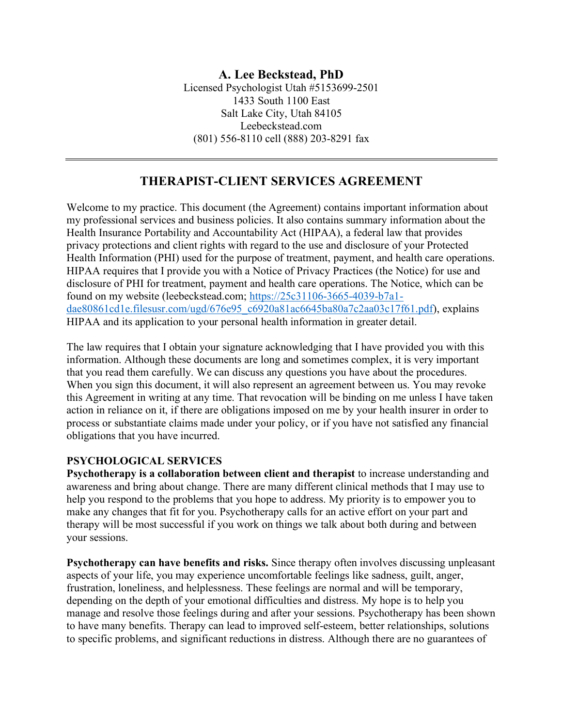# **THERAPIST-CLIENT SERVICES AGREEMENT**

Welcome to my practice. This document (the Agreement) contains important information about my professional services and business policies. It also contains summary information about the Health Insurance Portability and Accountability Act (HIPAA), a federal law that provides privacy protections and client rights with regard to the use and disclosure of your Protected Health Information (PHI) used for the purpose of treatment, payment, and health care operations. HIPAA requires that I provide you with a Notice of Privacy Practices (the Notice) for use and disclosure of PHI for treatment, payment and health care operations. The Notice, which can be found on my website (leebeckstead.com; https://25c31106-3665-4039-b7a1 dae80861cd1e.filesusr.com/ugd/676e95\_c6920a81ac6645ba80a7c2aa03c17f61.pdf), explains HIPAA and its application to your personal health information in greater detail.

The law requires that I obtain your signature acknowledging that I have provided you with this information. Although these documents are long and sometimes complex, it is very important that you read them carefully. We can discuss any questions you have about the procedures. When you sign this document, it will also represent an agreement between us. You may revoke this Agreement in writing at any time. That revocation will be binding on me unless I have taken action in reliance on it, if there are obligations imposed on me by your health insurer in order to process or substantiate claims made under your policy, or if you have not satisfied any financial obligations that you have incurred.

## **PSYCHOLOGICAL SERVICES**

**Psychotherapy is a collaboration between client and therapist** to increase understanding and awareness and bring about change. There are many different clinical methods that I may use to help you respond to the problems that you hope to address. My priority is to empower you to make any changes that fit for you. Psychotherapy calls for an active effort on your part and therapy will be most successful if you work on things we talk about both during and between your sessions.

**Psychotherapy can have benefits and risks.** Since therapy often involves discussing unpleasant aspects of your life, you may experience uncomfortable feelings like sadness, guilt, anger, frustration, loneliness, and helplessness. These feelings are normal and will be temporary, depending on the depth of your emotional difficulties and distress. My hope is to help you manage and resolve those feelings during and after your sessions. Psychotherapy has been shown to have many benefits. Therapy can lead to improved self-esteem, better relationships, solutions to specific problems, and significant reductions in distress. Although there are no guarantees of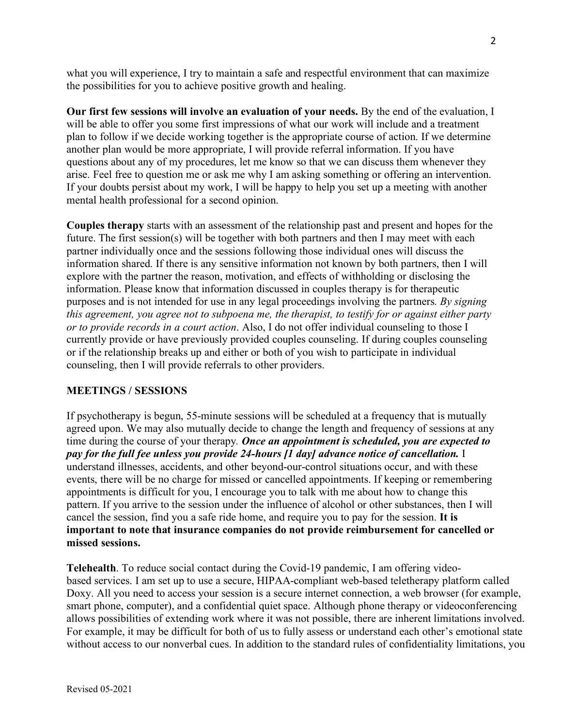what you will experience. I try to maintain a safe and respectful environment that can maximize the possibilities for you to achieve positive growth and healing.

**Our first few sessions will involve an evaluation of your needs.** By the end of the evaluation, I will be able to offer you some first impressions of what our work will include and a treatment plan to follow if we decide working together is the appropriate course of action. If we determine another plan would be more appropriate, I will provide referral information. If you have questions about any of my procedures, let me know so that we can discuss them whenever they arise. Feel free to question me or ask me why I am asking something or offering an intervention. If your doubts persist about my work, I will be happy to help you set up a meeting with another mental health professional for a second opinion.

**Couples therapy** starts with an assessment of the relationship past and present and hopes for the future. The first session(s) will be together with both partners and then I may meet with each partner individually once and the sessions following those individual ones will discuss the information shared. If there is any sensitive information not known by both partners, then I will explore with the partner the reason, motivation, and effects of withholding or disclosing the information. Please know that information discussed in couples therapy is for therapeutic purposes and is not intended for use in any legal proceedings involving the partners*. By signing this agreement, you agree not to subpoena me, the therapist, to testify for or against either party or to provide records in a court action*. Also, I do not offer individual counseling to those I currently provide or have previously provided couples counseling. If during couples counseling or if the relationship breaks up and either or both of you wish to participate in individual counseling, then I will provide referrals to other providers.

## **MEETINGS / SESSIONS**

If psychotherapy is begun, 55-minute sessions will be scheduled at a frequency that is mutually agreed upon. We may also mutually decide to change the length and frequency of sessions at any time during the course of your therapy*. Once an appointment is scheduled, you are expected to pay for the full fee unless you provide 24-hours [1 day] advance notice of cancellation.* I understand illnesses, accidents, and other beyond-our-control situations occur, and with these events, there will be no charge for missed or cancelled appointments. If keeping or remembering appointments is difficult for you, I encourage you to talk with me about how to change this pattern. If you arrive to the session under the influence of alcohol or other substances, then I will cancel the session, find you a safe ride home, and require you to pay for the session. **It is important to note that insurance companies do not provide reimbursement for cancelled or missed sessions.** 

**Telehealth**. To reduce social contact during the Covid-19 pandemic, I am offering videobased services. I am set up to use a secure, HIPAA-compliant web-based teletherapy platform called Doxy. All you need to access your session is a secure internet connection, a web browser (for example, smart phone, computer), and a confidential quiet space. Although phone therapy or videoconferencing allows possibilities of extending work where it was not possible, there are inherent limitations involved. For example, it may be difficult for both of us to fully assess or understand each other's emotional state without access to our nonverbal cues. In addition to the standard rules of confidentiality limitations, you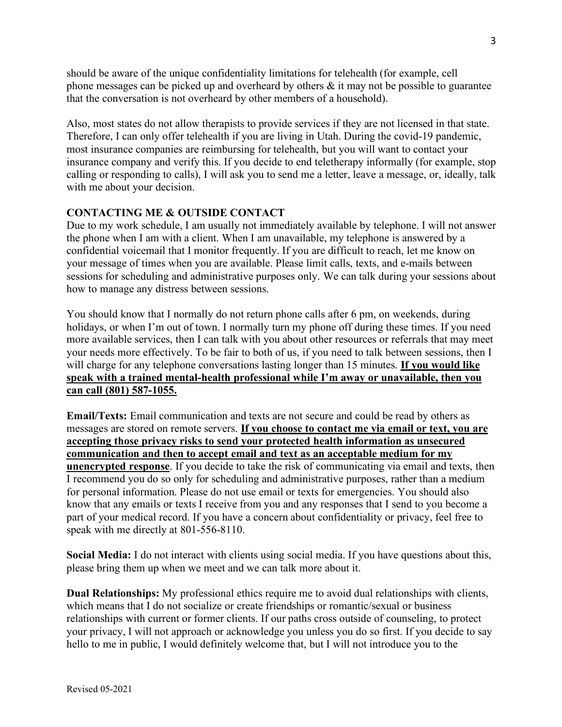should be aware of the unique confidentiality limitations for telehealth (for example, cell phone messages can be picked up and overheard by others  $\&$  it may not be possible to guarantee that the conversation is not overheard by other members of a household).

Also, most states do not allow therapists to provide services if they are not licensed in that state. Therefore, I can only offer telehealth if you are living in Utah. During the covid-19 pandemic, most insurance companies are reimbursing for telehealth, but you will want to contact your insurance company and verify this. If you decide to end teletherapy informally (for example, stop calling or responding to calls), I will ask you to send me a letter, leave a message, or, ideally, talk with me about your decision.

## **CONTACTING ME & OUTSIDE CONTACT**

Due to my work schedule, I am usually not immediately available by telephone. I will not answer the phone when I am with a client. When I am unavailable, my telephone is answered by a confidential voicemail that I monitor frequently. If you are difficult to reach, let me know on your message of times when you are available. Please limit calls, texts, and e-mails between sessions for scheduling and administrative purposes only. We can talk during your sessions about how to manage any distress between sessions.

You should know that I normally do not return phone calls after 6 pm, on weekends, during holidays, or when I'm out of town. I normally turn my phone off during these times. If you need more available services, then I can talk with you about other resources or referrals that may meet your needs more effectively. To be fair to both of us, if you need to talk between sessions, then I will charge for any telephone conversations lasting longer than 15 minutes. **If you would like speak with a trained mental-health professional while I'm away or unavailable, then you can call (801) 587-1055.** 

**Email/Texts:** Email communication and texts are not secure and could be read by others as messages are stored on remote servers. **If you choose to contact me via email or text, you are accepting those privacy risks to send your protected health information as unsecured communication and then to accept email and text as an acceptable medium for my unencrypted response**. If you decide to take the risk of communicating via email and texts, then I recommend you do so only for scheduling and administrative purposes, rather than a medium for personal information. Please do not use email or texts for emergencies. You should also know that any emails or texts I receive from you and any responses that I send to you become a part of your medical record. If you have a concern about confidentiality or privacy, feel free to speak with me directly at 801-556-8110.

**Social Media:** I do not interact with clients using social media. If you have questions about this, please bring them up when we meet and we can talk more about it.

**Dual Relationships:** My professional ethics require me to avoid dual relationships with clients, which means that I do not socialize or create friendships or romantic/sexual or business relationships with current or former clients. If our paths cross outside of counseling, to protect your privacy, I will not approach or acknowledge you unless you do so first. If you decide to say hello to me in public, I would definitely welcome that, but I will not introduce you to the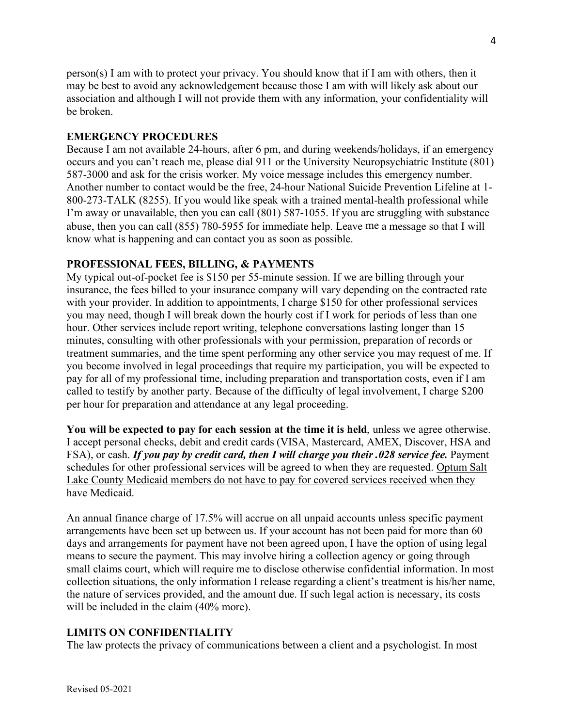person(s) I am with to protect your privacy. You should know that if I am with others, then it may be best to avoid any acknowledgement because those I am with will likely ask about our association and although I will not provide them with any information, your confidentiality will be broken.

#### **EMERGENCY PROCEDURES**

Because I am not available 24-hours, after 6 pm, and during weekends/holidays, if an emergency occurs and you can't reach me, please dial 911 or the University Neuropsychiatric Institute (801) 587-3000 and ask for the crisis worker. My voice message includes this emergency number. Another number to contact would be the free, 24-hour National Suicide Prevention Lifeline at 1- 800-273-TALK (8255). If you would like speak with a trained mental-health professional while I'm away or unavailable, then you can call (801) 587-1055. If you are struggling with substance abuse, then you can call (855) 780-5955 for immediate help. Leave me a message so that I will know what is happening and can contact you as soon as possible.

#### **PROFESSIONAL FEES, BILLING, & PAYMENTS**

My typical out-of-pocket fee is \$150 per 55-minute session. If we are billing through your insurance, the fees billed to your insurance company will vary depending on the contracted rate with your provider. In addition to appointments, I charge \$150 for other professional services you may need, though I will break down the hourly cost if I work for periods of less than one hour. Other services include report writing, telephone conversations lasting longer than 15 minutes, consulting with other professionals with your permission, preparation of records or treatment summaries, and the time spent performing any other service you may request of me. If you become involved in legal proceedings that require my participation, you will be expected to pay for all of my professional time, including preparation and transportation costs, even if I am called to testify by another party. Because of the difficulty of legal involvement, I charge \$200 per hour for preparation and attendance at any legal proceeding.

**You will be expected to pay for each session at the time it is held**, unless we agree otherwise. I accept personal checks, debit and credit cards (VISA, Mastercard, AMEX, Discover, HSA and FSA), or cash. *If you pay by credit card, then I will charge you their .028 service fee.* Payment schedules for other professional services will be agreed to when they are requested. Optum Salt Lake County Medicaid members do not have to pay for covered services received when they have Medicaid.

An annual finance charge of 17.5% will accrue on all unpaid accounts unless specific payment arrangements have been set up between us. If your account has not been paid for more than 60 days and arrangements for payment have not been agreed upon, I have the option of using legal means to secure the payment. This may involve hiring a collection agency or going through small claims court, which will require me to disclose otherwise confidential information. In most collection situations, the only information I release regarding a client's treatment is his/her name, the nature of services provided, and the amount due. If such legal action is necessary, its costs will be included in the claim (40% more).

## **LIMITS ON CONFIDENTIALITY**

The law protects the privacy of communications between a client and a psychologist. In most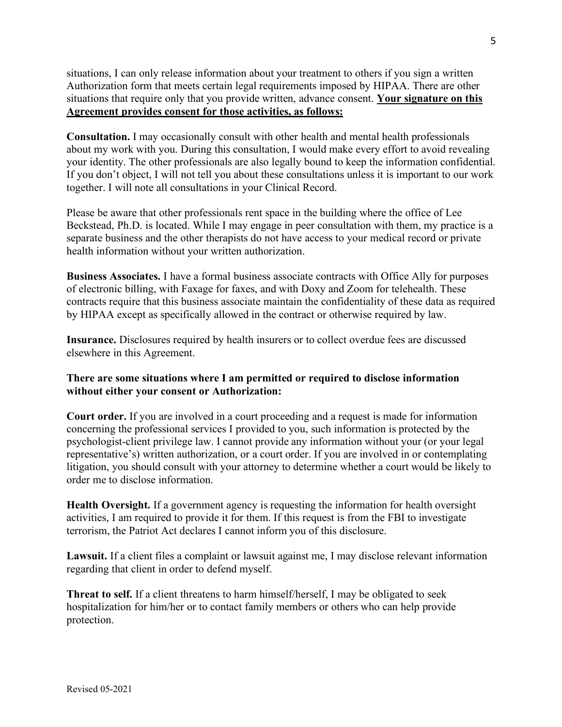situations, I can only release information about your treatment to others if you sign a written Authorization form that meets certain legal requirements imposed by HIPAA. There are other situations that require only that you provide written, advance consent. **Your signature on this Agreement provides consent for those activities, as follows:** 

**Consultation.** I may occasionally consult with other health and mental health professionals about my work with you. During this consultation, I would make every effort to avoid revealing your identity. The other professionals are also legally bound to keep the information confidential. If you don't object, I will not tell you about these consultations unless it is important to our work together. I will note all consultations in your Clinical Record.

Please be aware that other professionals rent space in the building where the office of Lee Beckstead, Ph.D. is located. While I may engage in peer consultation with them, my practice is a separate business and the other therapists do not have access to your medical record or private health information without your written authorization.

**Business Associates.** I have a formal business associate contracts with Office Ally for purposes of electronic billing, with Faxage for faxes, and with Doxy and Zoom for telehealth. These contracts require that this business associate maintain the confidentiality of these data as required by HIPAA except as specifically allowed in the contract or otherwise required by law.

**Insurance.** Disclosures required by health insurers or to collect overdue fees are discussed elsewhere in this Agreement.

## **There are some situations where I am permitted or required to disclose information without either your consent or Authorization:**

**Court order.** If you are involved in a court proceeding and a request is made for information concerning the professional services I provided to you, such information is protected by the psychologist-client privilege law. I cannot provide any information without your (or your legal representative's) written authorization, or a court order. If you are involved in or contemplating litigation, you should consult with your attorney to determine whether a court would be likely to order me to disclose information.

**Health Oversight.** If a government agency is requesting the information for health oversight activities, I am required to provide it for them. If this request is from the FBI to investigate terrorism, the Patriot Act declares I cannot inform you of this disclosure.

Lawsuit. If a client files a complaint or lawsuit against me, I may disclose relevant information regarding that client in order to defend myself.

**Threat to self.** If a client threatens to harm himself/herself, I may be obligated to seek hospitalization for him/her or to contact family members or others who can help provide protection.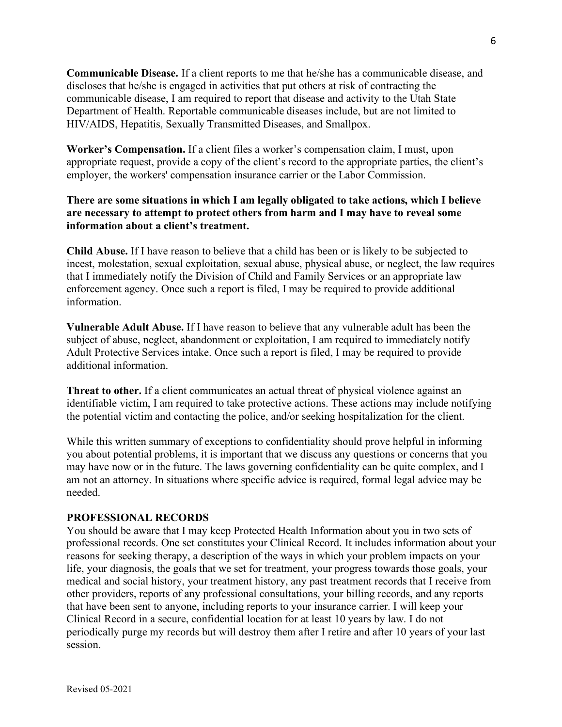**Communicable Disease.** If a client reports to me that he/she has a communicable disease, and discloses that he/she is engaged in activities that put others at risk of contracting the communicable disease, I am required to report that disease and activity to the Utah State Department of Health. Reportable communicable diseases include, but are not limited to HIV/AIDS, Hepatitis, Sexually Transmitted Diseases, and Smallpox.

**Worker's Compensation.** If a client files a worker's compensation claim, I must, upon appropriate request, provide a copy of the client's record to the appropriate parties, the client's employer, the workers' compensation insurance carrier or the Labor Commission.

## **There are some situations in which I am legally obligated to take actions, which I believe are necessary to attempt to protect others from harm and I may have to reveal some information about a client's treatment.**

**Child Abuse.** If I have reason to believe that a child has been or is likely to be subjected to incest, molestation, sexual exploitation, sexual abuse, physical abuse, or neglect, the law requires that I immediately notify the Division of Child and Family Services or an appropriate law enforcement agency. Once such a report is filed, I may be required to provide additional information.

**Vulnerable Adult Abuse.** If I have reason to believe that any vulnerable adult has been the subject of abuse, neglect, abandonment or exploitation, I am required to immediately notify Adult Protective Services intake. Once such a report is filed, I may be required to provide additional information.

**Threat to other.** If a client communicates an actual threat of physical violence against an identifiable victim, I am required to take protective actions. These actions may include notifying the potential victim and contacting the police, and/or seeking hospitalization for the client.

While this written summary of exceptions to confidentiality should prove helpful in informing you about potential problems, it is important that we discuss any questions or concerns that you may have now or in the future. The laws governing confidentiality can be quite complex, and I am not an attorney. In situations where specific advice is required, formal legal advice may be needed.

## **PROFESSIONAL RECORDS**

You should be aware that I may keep Protected Health Information about you in two sets of professional records. One set constitutes your Clinical Record. It includes information about your reasons for seeking therapy, a description of the ways in which your problem impacts on your life, your diagnosis, the goals that we set for treatment, your progress towards those goals, your medical and social history, your treatment history, any past treatment records that I receive from other providers, reports of any professional consultations, your billing records, and any reports that have been sent to anyone, including reports to your insurance carrier. I will keep your Clinical Record in a secure, confidential location for at least 10 years by law. I do not periodically purge my records but will destroy them after I retire and after 10 years of your last session.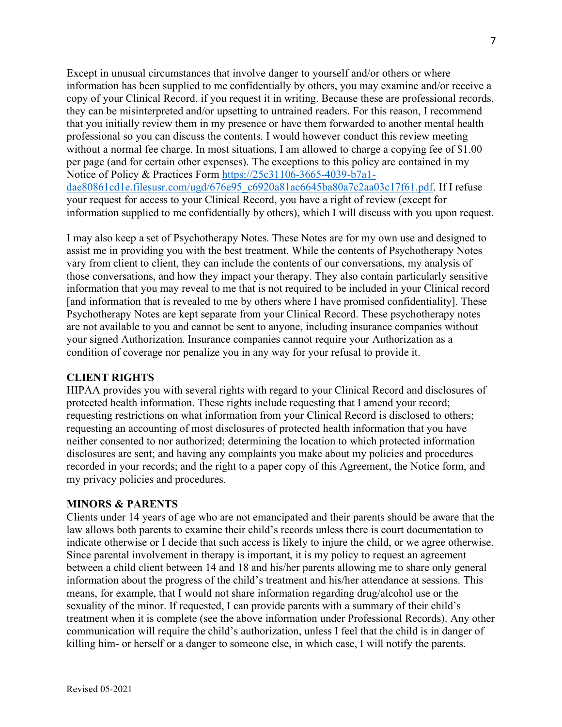Except in unusual circumstances that involve danger to yourself and/or others or where information has been supplied to me confidentially by others, you may examine and/or receive a copy of your Clinical Record, if you request it in writing. Because these are professional records, they can be misinterpreted and/or upsetting to untrained readers. For this reason, I recommend that you initially review them in my presence or have them forwarded to another mental health professional so you can discuss the contents. I would however conduct this review meeting without a normal fee charge. In most situations, I am allowed to charge a copying fee of \$1.00 per page (and for certain other expenses). The exceptions to this policy are contained in my Notice of Policy & Practices Form https://25c31106-3665-4039-b7a1 dae80861cd1e.filesusr.com/ugd/676e95\_c6920a81ac6645ba80a7c2aa03c17f61.pdf. If I refuse your request for access to your Clinical Record, you have a right of review (except for information supplied to me confidentially by others), which I will discuss with you upon request.

I may also keep a set of Psychotherapy Notes. These Notes are for my own use and designed to assist me in providing you with the best treatment. While the contents of Psychotherapy Notes vary from client to client, they can include the contents of our conversations, my analysis of those conversations, and how they impact your therapy. They also contain particularly sensitive information that you may reveal to me that is not required to be included in your Clinical record [and information that is revealed to me by others where I have promised confidentiality]. These Psychotherapy Notes are kept separate from your Clinical Record. These psychotherapy notes are not available to you and cannot be sent to anyone, including insurance companies without your signed Authorization. Insurance companies cannot require your Authorization as a condition of coverage nor penalize you in any way for your refusal to provide it.

#### **CLIENT RIGHTS**

HIPAA provides you with several rights with regard to your Clinical Record and disclosures of protected health information. These rights include requesting that I amend your record; requesting restrictions on what information from your Clinical Record is disclosed to others; requesting an accounting of most disclosures of protected health information that you have neither consented to nor authorized; determining the location to which protected information disclosures are sent; and having any complaints you make about my policies and procedures recorded in your records; and the right to a paper copy of this Agreement, the Notice form, and my privacy policies and procedures.

#### **MINORS & PARENTS**

Clients under 14 years of age who are not emancipated and their parents should be aware that the law allows both parents to examine their child's records unless there is court documentation to indicate otherwise or I decide that such access is likely to injure the child, or we agree otherwise. Since parental involvement in therapy is important, it is my policy to request an agreement between a child client between 14 and 18 and his/her parents allowing me to share only general information about the progress of the child's treatment and his/her attendance at sessions. This means, for example, that I would not share information regarding drug/alcohol use or the sexuality of the minor. If requested, I can provide parents with a summary of their child's treatment when it is complete (see the above information under Professional Records). Any other communication will require the child's authorization, unless I feel that the child is in danger of killing him- or herself or a danger to someone else, in which case, I will notify the parents.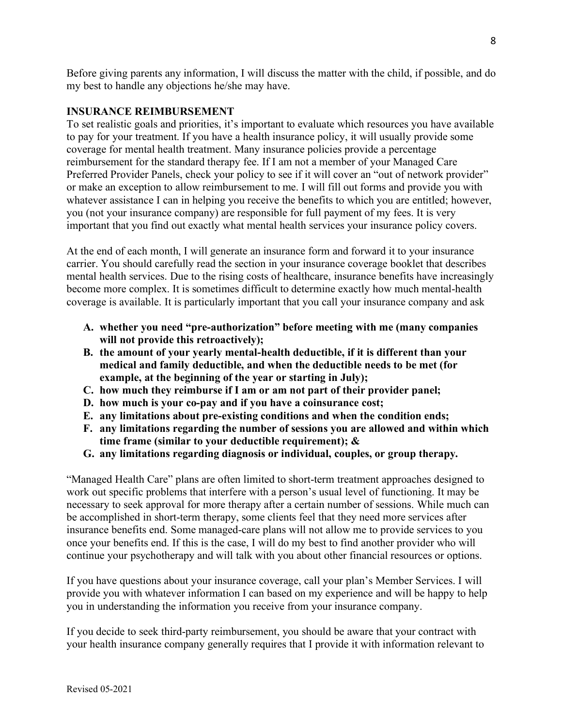Before giving parents any information, I will discuss the matter with the child, if possible, and do my best to handle any objections he/she may have.

#### **INSURANCE REIMBURSEMENT**

To set realistic goals and priorities, it's important to evaluate which resources you have available to pay for your treatment. If you have a health insurance policy, it will usually provide some coverage for mental health treatment. Many insurance policies provide a percentage reimbursement for the standard therapy fee. If I am not a member of your Managed Care Preferred Provider Panels, check your policy to see if it will cover an "out of network provider" or make an exception to allow reimbursement to me. I will fill out forms and provide you with whatever assistance I can in helping you receive the benefits to which you are entitled; however, you (not your insurance company) are responsible for full payment of my fees. It is very important that you find out exactly what mental health services your insurance policy covers.

At the end of each month, I will generate an insurance form and forward it to your insurance carrier. You should carefully read the section in your insurance coverage booklet that describes mental health services. Due to the rising costs of healthcare, insurance benefits have increasingly become more complex. It is sometimes difficult to determine exactly how much mental-health coverage is available. It is particularly important that you call your insurance company and ask

- **A. whether you need "pre-authorization" before meeting with me (many companies will not provide this retroactively);**
- **B. the amount of your yearly mental-health deductible, if it is different than your medical and family deductible, and when the deductible needs to be met (for example, at the beginning of the year or starting in July);**
- **C. how much they reimburse if I am or am not part of their provider panel;**
- **D. how much is your co-pay and if you have a coinsurance cost;**
- **E. any limitations about pre-existing conditions and when the condition ends;**
- **F. any limitations regarding the number of sessions you are allowed and within which time frame (similar to your deductible requirement); &**
- **G. any limitations regarding diagnosis or individual, couples, or group therapy.**

"Managed Health Care" plans are often limited to short-term treatment approaches designed to work out specific problems that interfere with a person's usual level of functioning. It may be necessary to seek approval for more therapy after a certain number of sessions. While much can be accomplished in short-term therapy, some clients feel that they need more services after insurance benefits end. Some managed-care plans will not allow me to provide services to you once your benefits end. If this is the case, I will do my best to find another provider who will continue your psychotherapy and will talk with you about other financial resources or options.

If you have questions about your insurance coverage, call your plan's Member Services. I will provide you with whatever information I can based on my experience and will be happy to help you in understanding the information you receive from your insurance company.

If you decide to seek third-party reimbursement, you should be aware that your contract with your health insurance company generally requires that I provide it with information relevant to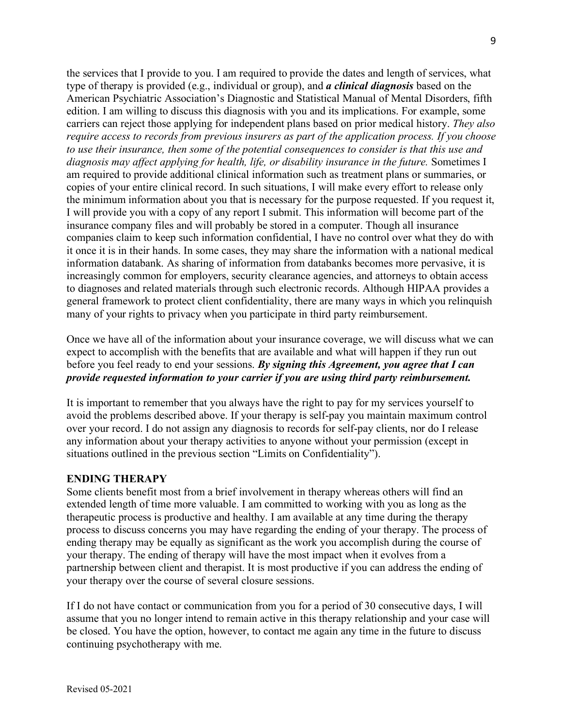the services that I provide to you. I am required to provide the dates and length of services, what type of therapy is provided (e.g., individual or group), and *a clinical diagnosis* based on the American Psychiatric Association's Diagnostic and Statistical Manual of Mental Disorders, fifth edition. I am willing to discuss this diagnosis with you and its implications. For example, some carriers can reject those applying for independent plans based on prior medical history. *They also require access to records from previous insurers as part of the application process. If you choose to use their insurance, then some of the potential consequences to consider is that this use and diagnosis may affect applying for health, life, or disability insurance in the future.* Sometimes I am required to provide additional clinical information such as treatment plans or summaries, or copies of your entire clinical record. In such situations, I will make every effort to release only the minimum information about you that is necessary for the purpose requested. If you request it, I will provide you with a copy of any report I submit. This information will become part of the insurance company files and will probably be stored in a computer. Though all insurance companies claim to keep such information confidential, I have no control over what they do with it once it is in their hands. In some cases, they may share the information with a national medical information databank. As sharing of information from databanks becomes more pervasive, it is increasingly common for employers, security clearance agencies, and attorneys to obtain access to diagnoses and related materials through such electronic records. Although HIPAA provides a general framework to protect client confidentiality, there are many ways in which you relinquish many of your rights to privacy when you participate in third party reimbursement.

Once we have all of the information about your insurance coverage, we will discuss what we can expect to accomplish with the benefits that are available and what will happen if they run out before you feel ready to end your sessions. *By signing this Agreement, you agree that I can provide requested information to your carrier if you are using third party reimbursement.* 

It is important to remember that you always have the right to pay for my services yourself to avoid the problems described above. If your therapy is self-pay you maintain maximum control over your record. I do not assign any diagnosis to records for self-pay clients, nor do I release any information about your therapy activities to anyone without your permission (except in situations outlined in the previous section "Limits on Confidentiality").

#### **ENDING THERAPY**

Some clients benefit most from a brief involvement in therapy whereas others will find an extended length of time more valuable. I am committed to working with you as long as the therapeutic process is productive and healthy. I am available at any time during the therapy process to discuss concerns you may have regarding the ending of your therapy. The process of ending therapy may be equally as significant as the work you accomplish during the course of your therapy. The ending of therapy will have the most impact when it evolves from a partnership between client and therapist. It is most productive if you can address the ending of your therapy over the course of several closure sessions.

If I do not have contact or communication from you for a period of 30 consecutive days, I will assume that you no longer intend to remain active in this therapy relationship and your case will be closed. You have the option, however, to contact me again any time in the future to discuss continuing psychotherapy with me.